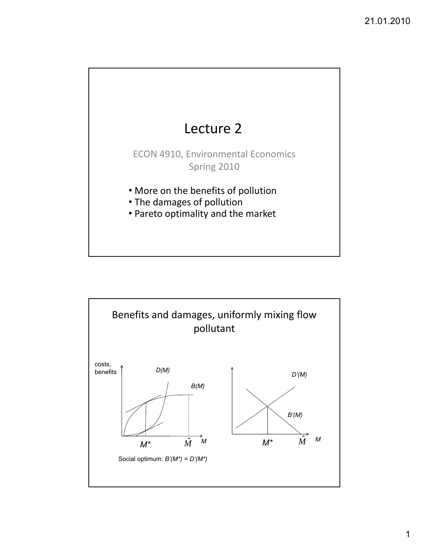

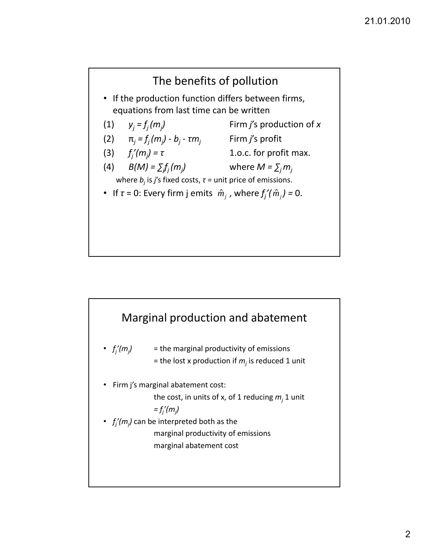

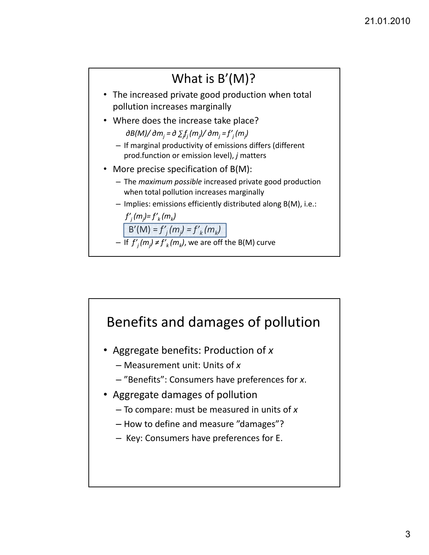

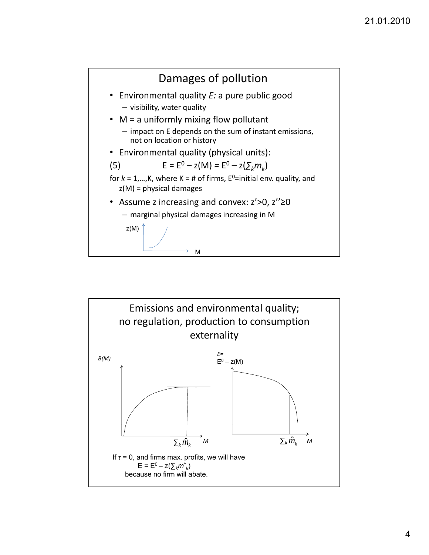

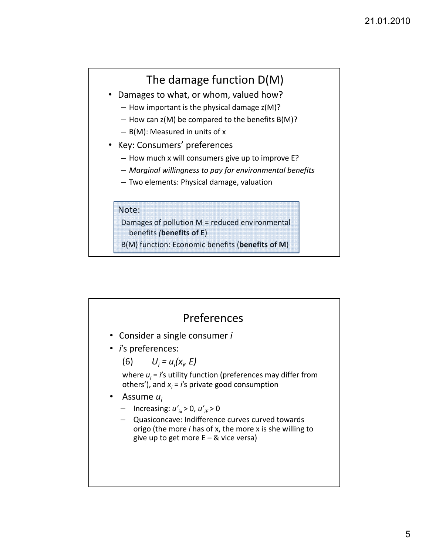# The damage function D(M)

- Damages to what, or whom, valued how?
	- How important is the physical damage z(M)?
	- $-$  How can z(M) be compared to the benefits B(M)?
	- B(M): Measured in units of x
- Key: Consumers' preferences
	- How much x will consumers give up to improve E?
	- *Marginal willingness to pay for environmental benefits*
	- Two elements: Physical damage, valuation

#### Note:

Damages of pollution M = reduced environmental benefits *(***benefits of E**)

B(M) function: Economic benefits (**benefits of M**)

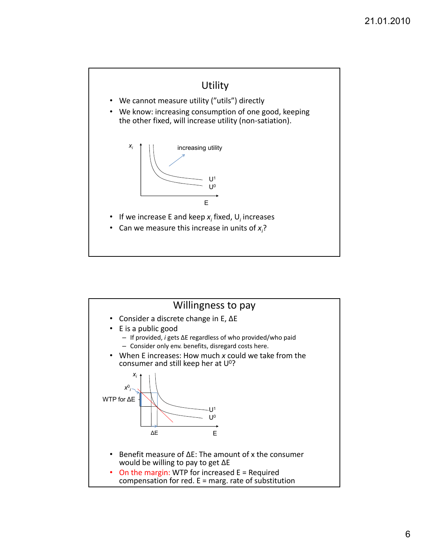

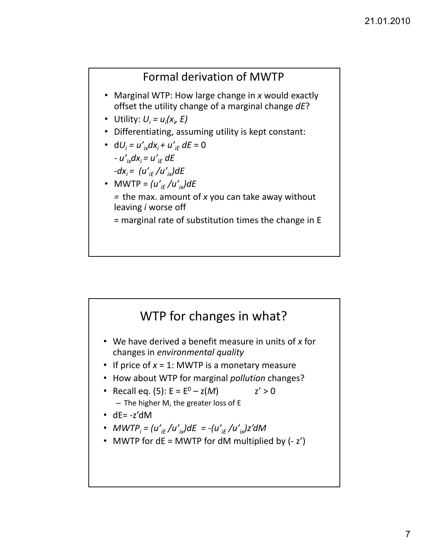### Formal derivation of MWTP

- Marginal WTP: How large change in *x* would exactly offset the utility change of a marginal change *dE*?
- Utility:  $U_i = u_i(x_i, E)$
- Differentiating, assuming utility is kept constant:
- $dU_i = u'_{i\kappa}dx_i + u'_{iF}$   $dE = 0$ *–*  $u'_{i\kappa}dx_{i} = u'_{iF}$  *dE –* $dx_i = (u'_{iF}/u'_{ix})dE$
- MWTP =  $(u'_{iF}/u'_{iX})dE$ = the max. amount of *x* you can take away without leaving *i* worse off
	- = marginal rate of substitution times the change in E

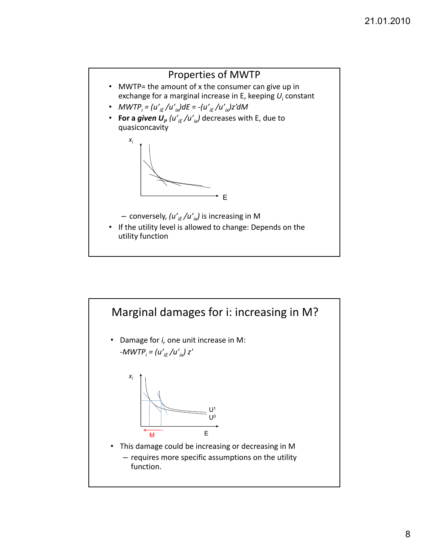

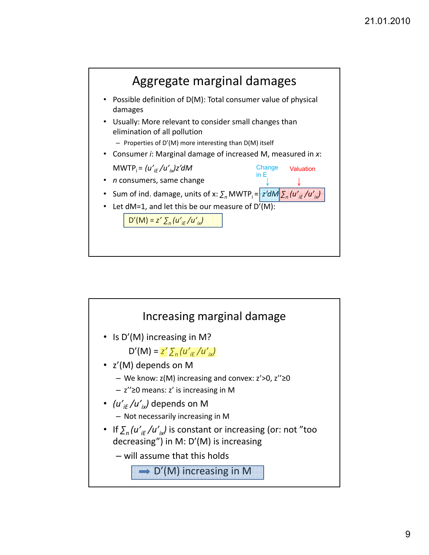

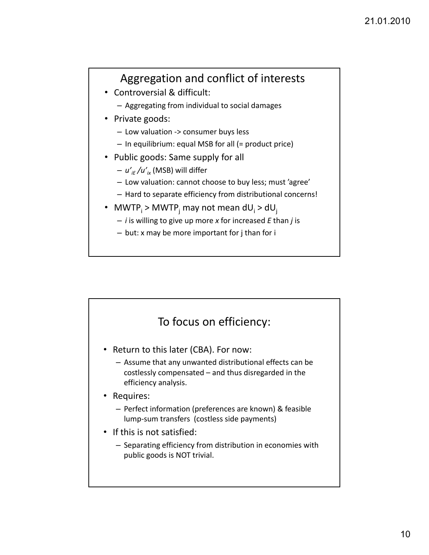# Aggregation and conflict of interests

- Controversial & difficult:
	- Aggregating from individual to social damages
- Private goods:
	- Low valuation ‐> consumer buys less
	- In equilibrium: equal MSB for all (= product price)
- Public goods: Same supply for all
	- $u_{i}^{'}$  /u'<sub>ix</sub> (MSB) will differ
	- Low valuation: cannot choose to buy less; must 'agree'
	- $-$  Hard to separate efficiency from distributional concerns!
- MWTP<sub>i</sub> > MWTP<sub>i</sub> may not mean  $dU_i$  >  $dU_i$ 
	- *i* is willing to give up more *x* for increased *E* than *j* is
	- but: x may be more important for j than for i

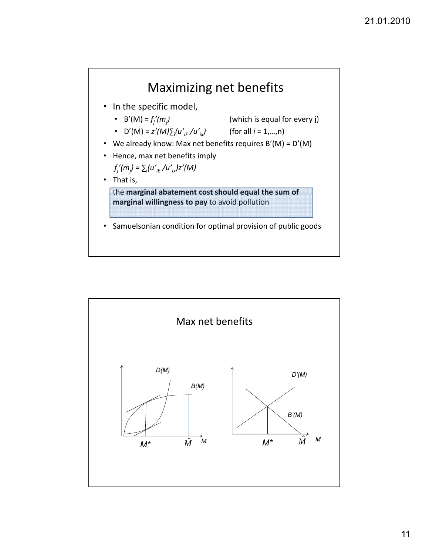

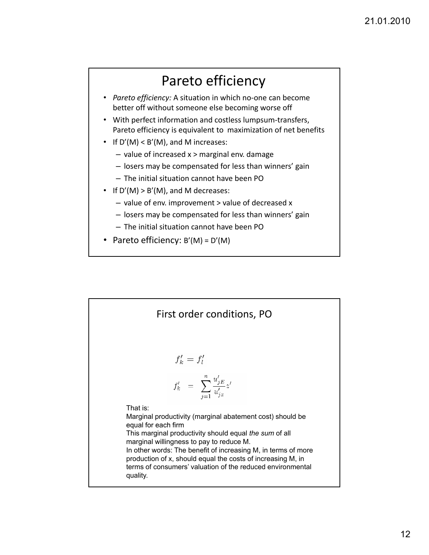# Pareto efficiency

- *Pareto efficiency:* A situation in which no‐one can become better off without someone else becoming worse off
- With perfect information and costless lumpsum‐transfers, Pareto efficiency is equivalent to maximization of net benefits
- If  $D'(M) < B'(M)$ , and M increases:
	- value of increased x > marginal env. damage
	- losers may be compensated for less than winners' gain
	- The initial situation cannot have been PO
- If  $D'(M) > B'(M)$ , and M decreases:
	- value of env. improvement > value of decreased x
	- losers may be compensated for less than winners' gain
	- The initial situation cannot have been PO
- Pareto efficiency:  $B'(M) = D'(M)$

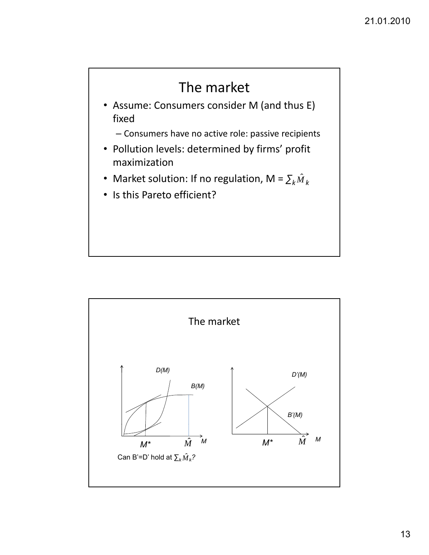